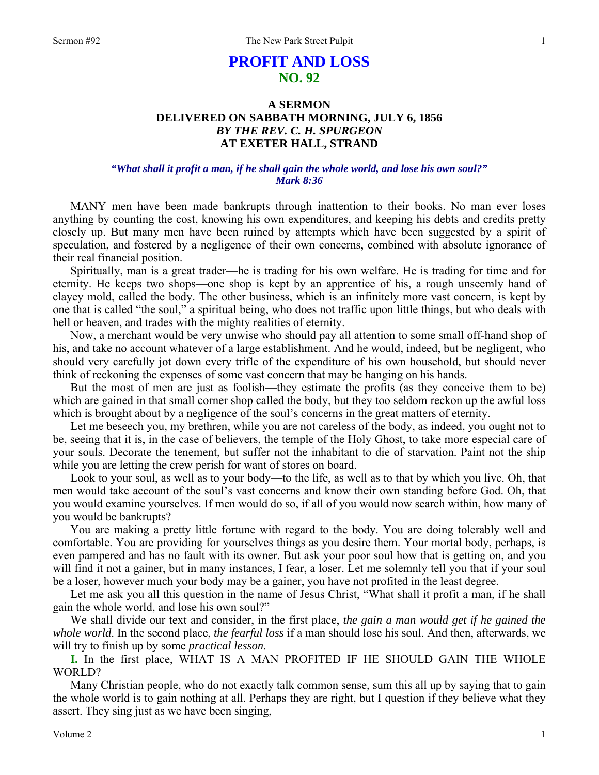# **PROFIT AND LOSS NO. 92**

# **A SERMON DELIVERED ON SABBATH MORNING, JULY 6, 1856**  *BY THE REV. C. H. SPURGEON*  **AT EXETER HALL, STRAND**

## *"What shall it profit a man, if he shall gain the whole world, and lose his own soul?" Mark 8:36*

MANY men have been made bankrupts through inattention to their books. No man ever loses anything by counting the cost, knowing his own expenditures, and keeping his debts and credits pretty closely up. But many men have been ruined by attempts which have been suggested by a spirit of speculation, and fostered by a negligence of their own concerns, combined with absolute ignorance of their real financial position.

Spiritually, man is a great trader—he is trading for his own welfare. He is trading for time and for eternity. He keeps two shops—one shop is kept by an apprentice of his, a rough unseemly hand of clayey mold, called the body. The other business, which is an infinitely more vast concern, is kept by one that is called "the soul," a spiritual being, who does not traffic upon little things, but who deals with hell or heaven, and trades with the mighty realities of eternity.

Now, a merchant would be very unwise who should pay all attention to some small off-hand shop of his, and take no account whatever of a large establishment. And he would, indeed, but be negligent, who should very carefully jot down every trifle of the expenditure of his own household, but should never think of reckoning the expenses of some vast concern that may be hanging on his hands.

But the most of men are just as foolish—they estimate the profits (as they conceive them to be) which are gained in that small corner shop called the body, but they too seldom reckon up the awful loss which is brought about by a negligence of the soul's concerns in the great matters of eternity.

Let me beseech you, my brethren, while you are not careless of the body, as indeed, you ought not to be, seeing that it is, in the case of believers, the temple of the Holy Ghost, to take more especial care of your souls. Decorate the tenement, but suffer not the inhabitant to die of starvation. Paint not the ship while you are letting the crew perish for want of stores on board.

Look to your soul, as well as to your body—to the life, as well as to that by which you live. Oh, that men would take account of the soul's vast concerns and know their own standing before God. Oh, that you would examine yourselves. If men would do so, if all of you would now search within, how many of you would be bankrupts?

You are making a pretty little fortune with regard to the body. You are doing tolerably well and comfortable. You are providing for yourselves things as you desire them. Your mortal body, perhaps, is even pampered and has no fault with its owner. But ask your poor soul how that is getting on, and you will find it not a gainer, but in many instances, I fear, a loser. Let me solemnly tell you that if your soul be a loser, however much your body may be a gainer, you have not profited in the least degree.

Let me ask you all this question in the name of Jesus Christ, "What shall it profit a man, if he shall gain the whole world, and lose his own soul?"

We shall divide our text and consider, in the first place, *the gain a man would get if he gained the whole world*. In the second place, *the fearful loss* if a man should lose his soul. And then, afterwards, we will try to finish up by some *practical lesson*.

**I.** In the first place, WHAT IS A MAN PROFITED IF HE SHOULD GAIN THE WHOLE WORLD?

Many Christian people, who do not exactly talk common sense, sum this all up by saying that to gain the whole world is to gain nothing at all. Perhaps they are right, but I question if they believe what they assert. They sing just as we have been singing,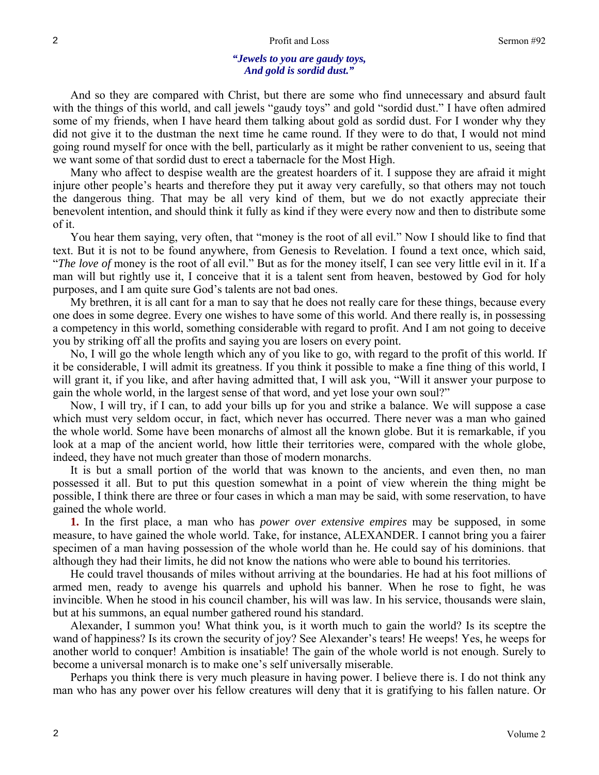#### *"Jewels to you are gaudy toys, And gold is sordid dust."*

And so they are compared with Christ, but there are some who find unnecessary and absurd fault with the things of this world, and call jewels "gaudy toys" and gold "sordid dust." I have often admired some of my friends, when I have heard them talking about gold as sordid dust. For I wonder why they did not give it to the dustman the next time he came round. If they were to do that, I would not mind going round myself for once with the bell, particularly as it might be rather convenient to us, seeing that we want some of that sordid dust to erect a tabernacle for the Most High.

Many who affect to despise wealth are the greatest hoarders of it. I suppose they are afraid it might injure other people's hearts and therefore they put it away very carefully, so that others may not touch the dangerous thing. That may be all very kind of them, but we do not exactly appreciate their benevolent intention, and should think it fully as kind if they were every now and then to distribute some of it.

You hear them saying, very often, that "money is the root of all evil." Now I should like to find that text. But it is not to be found anywhere, from Genesis to Revelation. I found a text once, which said, "*The love of* money is the root of all evil." But as for the money itself, I can see very little evil in it. If a man will but rightly use it, I conceive that it is a talent sent from heaven, bestowed by God for holy purposes, and I am quite sure God's talents are not bad ones.

My brethren, it is all cant for a man to say that he does not really care for these things, because every one does in some degree. Every one wishes to have some of this world. And there really is, in possessing a competency in this world, something considerable with regard to profit. And I am not going to deceive you by striking off all the profits and saying you are losers on every point.

No, I will go the whole length which any of you like to go, with regard to the profit of this world. If it be considerable, I will admit its greatness. If you think it possible to make a fine thing of this world, I will grant it, if you like, and after having admitted that, I will ask you, "Will it answer your purpose to gain the whole world, in the largest sense of that word, and yet lose your own soul?"

Now, I will try, if I can, to add your bills up for you and strike a balance. We will suppose a case which must very seldom occur, in fact, which never has occurred. There never was a man who gained the whole world. Some have been monarchs of almost all the known globe. But it is remarkable, if you look at a map of the ancient world, how little their territories were, compared with the whole globe, indeed, they have not much greater than those of modern monarchs.

It is but a small portion of the world that was known to the ancients, and even then, no man possessed it all. But to put this question somewhat in a point of view wherein the thing might be possible, I think there are three or four cases in which a man may be said, with some reservation, to have gained the whole world.

**1.** In the first place, a man who has *power over extensive empires* may be supposed, in some measure, to have gained the whole world. Take, for instance, ALEXANDER. I cannot bring you a fairer specimen of a man having possession of the whole world than he. He could say of his dominions. that although they had their limits, he did not know the nations who were able to bound his territories.

He could travel thousands of miles without arriving at the boundaries. He had at his foot millions of armed men, ready to avenge his quarrels and uphold his banner. When he rose to fight, he was invincible. When he stood in his council chamber, his will was law. In his service, thousands were slain, but at his summons, an equal number gathered round his standard.

Alexander, I summon you! What think you, is it worth much to gain the world? Is its sceptre the wand of happiness? Is its crown the security of joy? See Alexander's tears! He weeps! Yes, he weeps for another world to conquer! Ambition is insatiable! The gain of the whole world is not enough. Surely to become a universal monarch is to make one's self universally miserable.

Perhaps you think there is very much pleasure in having power. I believe there is. I do not think any man who has any power over his fellow creatures will deny that it is gratifying to his fallen nature. Or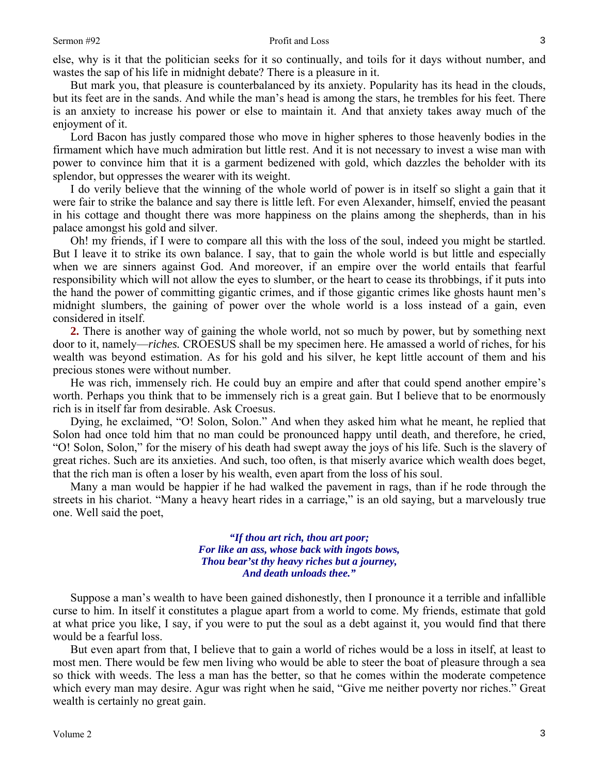else, why is it that the politician seeks for it so continually, and toils for it days without number, and wastes the sap of his life in midnight debate? There is a pleasure in it.

But mark you, that pleasure is counterbalanced by its anxiety. Popularity has its head in the clouds, but its feet are in the sands. And while the man's head is among the stars, he trembles for his feet. There is an anxiety to increase his power or else to maintain it. And that anxiety takes away much of the enjoyment of it.

Lord Bacon has justly compared those who move in higher spheres to those heavenly bodies in the firmament which have much admiration but little rest. And it is not necessary to invest a wise man with power to convince him that it is a garment bedizened with gold, which dazzles the beholder with its splendor, but oppresses the wearer with its weight.

I do verily believe that the winning of the whole world of power is in itself so slight a gain that it were fair to strike the balance and say there is little left. For even Alexander, himself, envied the peasant in his cottage and thought there was more happiness on the plains among the shepherds, than in his palace amongst his gold and silver.

Oh! my friends, if I were to compare all this with the loss of the soul, indeed you might be startled. But I leave it to strike its own balance. I say, that to gain the whole world is but little and especially when we are sinners against God. And moreover, if an empire over the world entails that fearful responsibility which will not allow the eyes to slumber, or the heart to cease its throbbings, if it puts into the hand the power of committing gigantic crimes, and if those gigantic crimes like ghosts haunt men's midnight slumbers, the gaining of power over the whole world is a loss instead of a gain, even considered in itself.

**2.** There is another way of gaining the whole world, not so much by power, but by something next door to it, namely—*riches.* CROESUS shall be my specimen here. He amassed a world of riches, for his wealth was beyond estimation. As for his gold and his silver, he kept little account of them and his precious stones were without number.

He was rich, immensely rich. He could buy an empire and after that could spend another empire's worth. Perhaps you think that to be immensely rich is a great gain. But I believe that to be enormously rich is in itself far from desirable. Ask Croesus.

Dying, he exclaimed, "O! Solon, Solon." And when they asked him what he meant, he replied that Solon had once told him that no man could be pronounced happy until death, and therefore, he cried, "O! Solon, Solon," for the misery of his death had swept away the joys of his life. Such is the slavery of great riches. Such are its anxieties. And such, too often, is that miserly avarice which wealth does beget, that the rich man is often a loser by his wealth, even apart from the loss of his soul.

Many a man would be happier if he had walked the pavement in rags, than if he rode through the streets in his chariot. "Many a heavy heart rides in a carriage," is an old saying, but a marvelously true one. Well said the poet,

> *"If thou art rich, thou art poor; For like an ass, whose back with ingots bows, Thou bear'st thy heavy riches but a journey, And death unloads thee."*

Suppose a man's wealth to have been gained dishonestly, then I pronounce it a terrible and infallible curse to him. In itself it constitutes a plague apart from a world to come. My friends, estimate that gold at what price you like, I say, if you were to put the soul as a debt against it, you would find that there would be a fearful loss.

But even apart from that, I believe that to gain a world of riches would be a loss in itself, at least to most men. There would be few men living who would be able to steer the boat of pleasure through a sea so thick with weeds. The less a man has the better, so that he comes within the moderate competence which every man may desire. Agur was right when he said, "Give me neither poverty nor riches." Great wealth is certainly no great gain.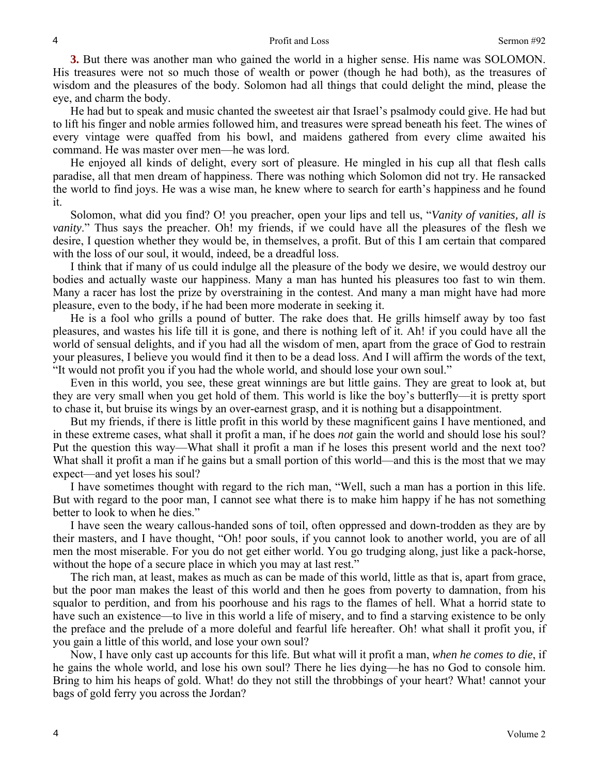**3.** But there was another man who gained the world in a higher sense. His name was SOLOMON. His treasures were not so much those of wealth or power (though he had both), as the treasures of wisdom and the pleasures of the body. Solomon had all things that could delight the mind, please the eye, and charm the body.

He had but to speak and music chanted the sweetest air that Israel's psalmody could give. He had but to lift his finger and noble armies followed him, and treasures were spread beneath his feet. The wines of every vintage were quaffed from his bowl, and maidens gathered from every clime awaited his command. He was master over men—he was lord.

He enjoyed all kinds of delight, every sort of pleasure. He mingled in his cup all that flesh calls paradise, all that men dream of happiness. There was nothing which Solomon did not try. He ransacked the world to find joys. He was a wise man, he knew where to search for earth's happiness and he found it.

Solomon, what did you find? O! you preacher, open your lips and tell us, "*Vanity of vanities, all is vanity*." Thus says the preacher. Oh! my friends, if we could have all the pleasures of the flesh we desire, I question whether they would be, in themselves, a profit. But of this I am certain that compared with the loss of our soul, it would, indeed, be a dreadful loss.

I think that if many of us could indulge all the pleasure of the body we desire, we would destroy our bodies and actually waste our happiness. Many a man has hunted his pleasures too fast to win them. Many a racer has lost the prize by overstraining in the contest. And many a man might have had more pleasure, even to the body, if he had been more moderate in seeking it.

He is a fool who grills a pound of butter. The rake does that. He grills himself away by too fast pleasures, and wastes his life till it is gone, and there is nothing left of it. Ah! if you could have all the world of sensual delights, and if you had all the wisdom of men, apart from the grace of God to restrain your pleasures, I believe you would find it then to be a dead loss. And I will affirm the words of the text, "It would not profit you if you had the whole world, and should lose your own soul."

Even in this world, you see, these great winnings are but little gains. They are great to look at, but they are very small when you get hold of them. This world is like the boy's butterfly—it is pretty sport to chase it, but bruise its wings by an over-earnest grasp, and it is nothing but a disappointment.

But my friends, if there is little profit in this world by these magnificent gains I have mentioned, and in these extreme cases, what shall it profit a man, if he does *not* gain the world and should lose his soul? Put the question this way—What shall it profit a man if he loses this present world and the next too? What shall it profit a man if he gains but a small portion of this world—and this is the most that we may expect—and yet loses his soul?

I have sometimes thought with regard to the rich man, "Well, such a man has a portion in this life. But with regard to the poor man, I cannot see what there is to make him happy if he has not something better to look to when he dies."

I have seen the weary callous-handed sons of toil, often oppressed and down-trodden as they are by their masters, and I have thought, "Oh! poor souls, if you cannot look to another world, you are of all men the most miserable. For you do not get either world. You go trudging along, just like a pack-horse, without the hope of a secure place in which you may at last rest."

The rich man, at least, makes as much as can be made of this world, little as that is, apart from grace, but the poor man makes the least of this world and then he goes from poverty to damnation, from his squalor to perdition, and from his poorhouse and his rags to the flames of hell. What a horrid state to have such an existence—to live in this world a life of misery, and to find a starving existence to be only the preface and the prelude of a more doleful and fearful life hereafter. Oh! what shall it profit you, if you gain a little of this world, and lose your own soul?

Now, I have only cast up accounts for this life. But what will it profit a man, *when he comes to die*, if he gains the whole world, and lose his own soul? There he lies dying—he has no God to console him. Bring to him his heaps of gold. What! do they not still the throbbings of your heart? What! cannot your bags of gold ferry you across the Jordan?

4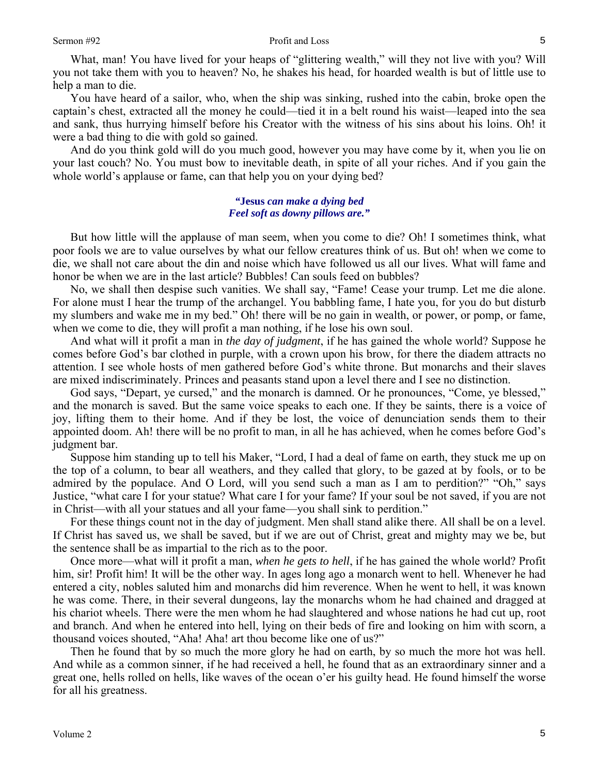What, man! You have lived for your heaps of "glittering wealth," will they not live with you? Will you not take them with you to heaven? No, he shakes his head, for hoarded wealth is but of little use to help a man to die.

You have heard of a sailor, who, when the ship was sinking, rushed into the cabin, broke open the captain's chest, extracted all the money he could—tied it in a belt round his waist—leaped into the sea and sank, thus hurrying himself before his Creator with the witness of his sins about his loins. Oh! it were a bad thing to die with gold so gained.

And do you think gold will do you much good, however you may have come by it, when you lie on your last couch? No. You must bow to inevitable death, in spite of all your riches. And if you gain the whole world's applause or fame, can that help you on your dying bed?

### *"***Jesus** *can make a dying bed Feel soft as downy pillows are."*

But how little will the applause of man seem, when you come to die? Oh! I sometimes think, what poor fools we are to value ourselves by what our fellow creatures think of us. But oh! when we come to die, we shall not care about the din and noise which have followed us all our lives. What will fame and honor be when we are in the last article? Bubbles! Can souls feed on bubbles?

No, we shall then despise such vanities. We shall say, "Fame! Cease your trump. Let me die alone. For alone must I hear the trump of the archangel. You babbling fame, I hate you, for you do but disturb my slumbers and wake me in my bed." Oh! there will be no gain in wealth, or power, or pomp, or fame, when we come to die, they will profit a man nothing, if he lose his own soul.

And what will it profit a man in *the day of judgment*, if he has gained the whole world? Suppose he comes before God's bar clothed in purple, with a crown upon his brow, for there the diadem attracts no attention. I see whole hosts of men gathered before God's white throne. But monarchs and their slaves are mixed indiscriminately. Princes and peasants stand upon a level there and I see no distinction.

God says, "Depart, ye cursed," and the monarch is damned. Or he pronounces, "Come, ye blessed," and the monarch is saved. But the same voice speaks to each one. If they be saints, there is a voice of joy, lifting them to their home. And if they be lost, the voice of denunciation sends them to their appointed doom. Ah! there will be no profit to man, in all he has achieved, when he comes before God's judgment bar.

Suppose him standing up to tell his Maker, "Lord, I had a deal of fame on earth, they stuck me up on the top of a column, to bear all weathers, and they called that glory, to be gazed at by fools, or to be admired by the populace. And O Lord, will you send such a man as I am to perdition?" "Oh," says Justice, "what care I for your statue? What care I for your fame? If your soul be not saved, if you are not in Christ—with all your statues and all your fame—you shall sink to perdition."

For these things count not in the day of judgment. Men shall stand alike there. All shall be on a level. If Christ has saved us, we shall be saved, but if we are out of Christ, great and mighty may we be, but the sentence shall be as impartial to the rich as to the poor.

Once more—what will it profit a man, *when he gets to hell*, if he has gained the whole world? Profit him, sir! Profit him! It will be the other way. In ages long ago a monarch went to hell. Whenever he had entered a city, nobles saluted him and monarchs did him reverence. When he went to hell, it was known he was come. There, in their several dungeons, lay the monarchs whom he had chained and dragged at his chariot wheels. There were the men whom he had slaughtered and whose nations he had cut up, root and branch. And when he entered into hell, lying on their beds of fire and looking on him with scorn, a thousand voices shouted, "Aha! Aha! art thou become like one of us?"

Then he found that by so much the more glory he had on earth, by so much the more hot was hell. And while as a common sinner, if he had received a hell, he found that as an extraordinary sinner and a great one, hells rolled on hells, like waves of the ocean o'er his guilty head. He found himself the worse for all his greatness.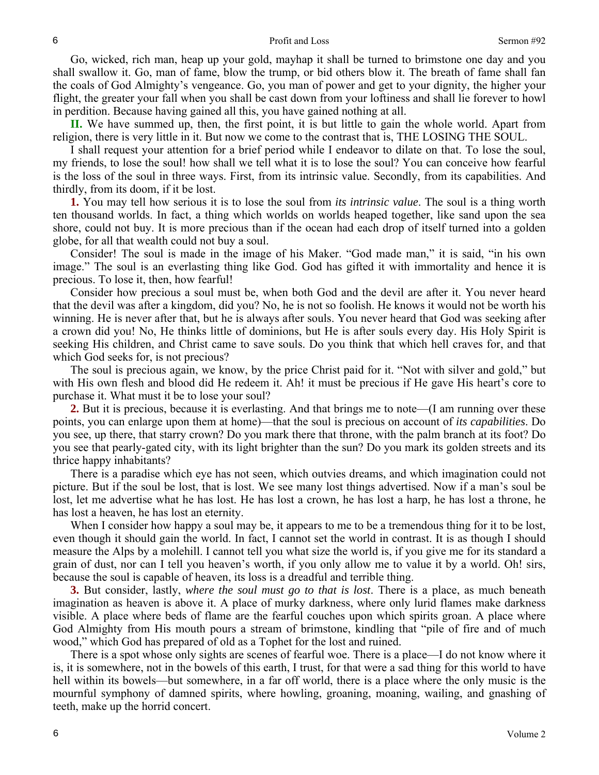#### Profit and Loss Sermon #92

Go, wicked, rich man, heap up your gold, mayhap it shall be turned to brimstone one day and you shall swallow it. Go, man of fame, blow the trump, or bid others blow it. The breath of fame shall fan the coals of God Almighty's vengeance. Go, you man of power and get to your dignity, the higher your flight, the greater your fall when you shall be cast down from your loftiness and shall lie forever to howl in perdition. Because having gained all this, you have gained nothing at all.

**II.** We have summed up, then, the first point, it is but little to gain the whole world. Apart from religion, there is very little in it. But now we come to the contrast that is, THE LOSING THE SOUL.

I shall request your attention for a brief period while I endeavor to dilate on that. To lose the soul, my friends, to lose the soul! how shall we tell what it is to lose the soul? You can conceive how fearful is the loss of the soul in three ways. First, from its intrinsic value. Secondly, from its capabilities. And thirdly, from its doom, if it be lost.

**1.** You may tell how serious it is to lose the soul from *its intrinsic value*. The soul is a thing worth ten thousand worlds. In fact, a thing which worlds on worlds heaped together, like sand upon the sea shore, could not buy. It is more precious than if the ocean had each drop of itself turned into a golden globe, for all that wealth could not buy a soul.

Consider! The soul is made in the image of his Maker. "God made man," it is said, "in his own image." The soul is an everlasting thing like God. God has gifted it with immortality and hence it is precious. To lose it, then, how fearful!

Consider how precious a soul must be, when both God and the devil are after it. You never heard that the devil was after a kingdom, did you? No, he is not so foolish. He knows it would not be worth his winning. He is never after that, but he is always after souls. You never heard that God was seeking after a crown did you! No, He thinks little of dominions, but He is after souls every day. His Holy Spirit is seeking His children, and Christ came to save souls. Do you think that which hell craves for, and that which God seeks for, is not precious?

The soul is precious again, we know, by the price Christ paid for it. "Not with silver and gold," but with His own flesh and blood did He redeem it. Ah! it must be precious if He gave His heart's core to purchase it. What must it be to lose your soul?

**2.** But it is precious, because it is everlasting. And that brings me to note—(I am running over these points, you can enlarge upon them at home)—that the soul is precious on account of *its capabilities*. Do you see, up there, that starry crown? Do you mark there that throne, with the palm branch at its foot? Do you see that pearly-gated city, with its light brighter than the sun? Do you mark its golden streets and its thrice happy inhabitants?

There is a paradise which eye has not seen, which outvies dreams, and which imagination could not picture. But if the soul be lost, that is lost. We see many lost things advertised. Now if a man's soul be lost, let me advertise what he has lost. He has lost a crown, he has lost a harp, he has lost a throne, he has lost a heaven, he has lost an eternity.

When I consider how happy a soul may be, it appears to me to be a tremendous thing for it to be lost, even though it should gain the world. In fact, I cannot set the world in contrast. It is as though I should measure the Alps by a molehill. I cannot tell you what size the world is, if you give me for its standard a grain of dust, nor can I tell you heaven's worth, if you only allow me to value it by a world. Oh! sirs, because the soul is capable of heaven, its loss is a dreadful and terrible thing.

**3.** But consider, lastly, *where the soul must go to that is lost*. There is a place, as much beneath imagination as heaven is above it. A place of murky darkness, where only lurid flames make darkness visible. A place where beds of flame are the fearful couches upon which spirits groan. A place where God Almighty from His mouth pours a stream of brimstone, kindling that "pile of fire and of much wood," which God has prepared of old as a Tophet for the lost and ruined.

There is a spot whose only sights are scenes of fearful woe. There is a place—I do not know where it is, it is somewhere, not in the bowels of this earth, I trust, for that were a sad thing for this world to have hell within its bowels—but somewhere, in a far off world, there is a place where the only music is the mournful symphony of damned spirits, where howling, groaning, moaning, wailing, and gnashing of teeth, make up the horrid concert.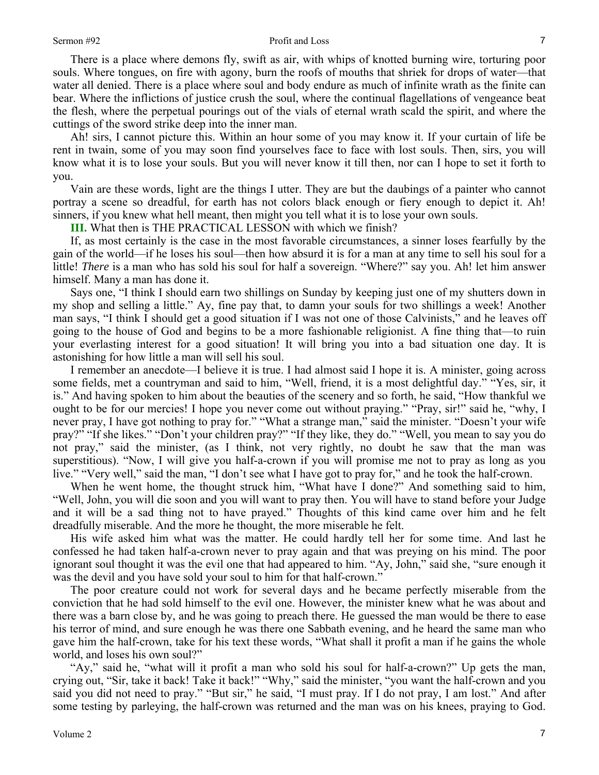#### Sermon #92 Profit and Loss

There is a place where demons fly, swift as air, with whips of knotted burning wire, torturing poor souls. Where tongues, on fire with agony, burn the roofs of mouths that shriek for drops of water—that water all denied. There is a place where soul and body endure as much of infinite wrath as the finite can bear. Where the inflictions of justice crush the soul, where the continual flagellations of vengeance beat the flesh, where the perpetual pourings out of the vials of eternal wrath scald the spirit, and where the cuttings of the sword strike deep into the inner man.

Ah! sirs, I cannot picture this. Within an hour some of you may know it. If your curtain of life be rent in twain, some of you may soon find yourselves face to face with lost souls. Then, sirs, you will know what it is to lose your souls. But you will never know it till then, nor can I hope to set it forth to you.

Vain are these words, light are the things I utter. They are but the daubings of a painter who cannot portray a scene so dreadful, for earth has not colors black enough or fiery enough to depict it. Ah! sinners, if you knew what hell meant, then might you tell what it is to lose your own souls.

**III.** What then is THE PRACTICAL LESSON with which we finish?

If, as most certainly is the case in the most favorable circumstances, a sinner loses fearfully by the gain of the world—if he loses his soul—then how absurd it is for a man at any time to sell his soul for a little! *There* is a man who has sold his soul for half a sovereign. "Where?" say you. Ah! let him answer himself. Many a man has done it.

Says one, "I think I should earn two shillings on Sunday by keeping just one of my shutters down in my shop and selling a little." Ay, fine pay that, to damn your souls for two shillings a week! Another man says, "I think I should get a good situation if I was not one of those Calvinists," and he leaves off going to the house of God and begins to be a more fashionable religionist. A fine thing that—to ruin your everlasting interest for a good situation! It will bring you into a bad situation one day. It is astonishing for how little a man will sell his soul.

I remember an anecdote—I believe it is true. I had almost said I hope it is. A minister, going across some fields, met a countryman and said to him, "Well, friend, it is a most delightful day." "Yes, sir, it is." And having spoken to him about the beauties of the scenery and so forth, he said, "How thankful we ought to be for our mercies! I hope you never come out without praying." "Pray, sir!" said he, "why, I never pray, I have got nothing to pray for." "What a strange man," said the minister. "Doesn't your wife pray?" "If she likes." "Don't your children pray?" "If they like, they do." "Well, you mean to say you do not pray," said the minister, (as I think, not very rightly, no doubt he saw that the man was superstitious). "Now, I will give you half-a-crown if you will promise me not to pray as long as you live." "Very well," said the man, "I don't see what I have got to pray for," and he took the half-crown.

When he went home, the thought struck him, "What have I done?" And something said to him, "Well, John, you will die soon and you will want to pray then. You will have to stand before your Judge and it will be a sad thing not to have prayed." Thoughts of this kind came over him and he felt dreadfully miserable. And the more he thought, the more miserable he felt.

His wife asked him what was the matter. He could hardly tell her for some time. And last he confessed he had taken half-a-crown never to pray again and that was preying on his mind. The poor ignorant soul thought it was the evil one that had appeared to him. "Ay, John," said she, "sure enough it was the devil and you have sold your soul to him for that half-crown."

The poor creature could not work for several days and he became perfectly miserable from the conviction that he had sold himself to the evil one. However, the minister knew what he was about and there was a barn close by, and he was going to preach there. He guessed the man would be there to ease his terror of mind, and sure enough he was there one Sabbath evening, and he heard the same man who gave him the half-crown, take for his text these words, "What shall it profit a man if he gains the whole world, and loses his own soul?"

"Ay," said he, "what will it profit a man who sold his soul for half-a-crown?" Up gets the man, crying out, "Sir, take it back! Take it back!" "Why," said the minister, "you want the half-crown and you said you did not need to pray." "But sir," he said, "I must pray. If I do not pray, I am lost." And after some testing by parleying, the half-crown was returned and the man was on his knees, praying to God.

7